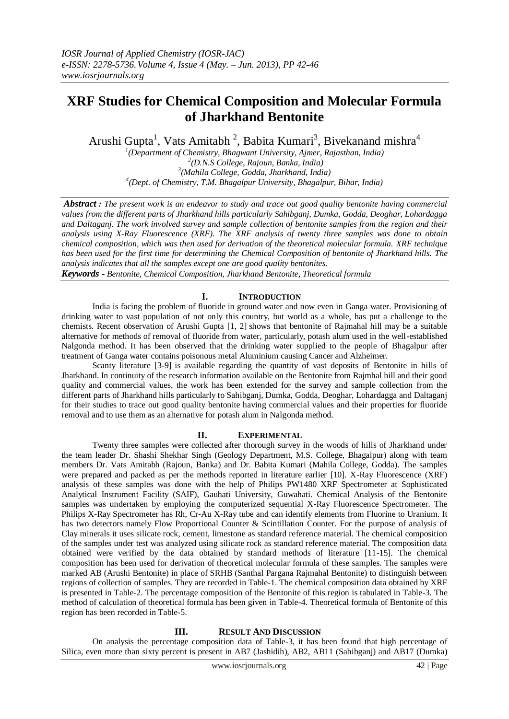# **XRF Studies for Chemical Composition and Molecular Formula of Jharkhand Bentonite**

Arushi Gupta<sup>1</sup>, Vats Amitabh<sup>2</sup>, Babita Kumari<sup>3</sup>, Bivekanand mishra<sup>4</sup>

 *(Department of Chemistry, Bhagwant University, Ajmer, Rajasthan, India) (D.N.S College, Rajoun, Banka, India) (Mahila College, Godda, Jharkhand, India) (Dept. of Chemistry, T.M. Bhagalpur University, Bhagalpur, Bihar, India)*

*Abstract : The present work is an endeavor to study and trace out good quality bentonite having commercial values from the different parts of Jharkhand hills particularly Sahibganj, Dumka, Godda, Deoghar, Lohardagga and Daltaganj. The work involved survey and sample collection of bentonite samples from the region and their analysis using X-Ray Fluorescence (XRF). The XRF analysis of twenty three samples was done to obtain chemical composition, which was then used for derivation of the theoretical molecular formula. XRF technique has been used for the first time for determining the Chemical Composition of bentonite of Jharkhand hills. The analysis indicates that all the samples except one are good quality bentonites.*

*Keywords - Bentonite, Chemical Composition, Jharkhand Bentonite, Theoretical formula*

# **I. INTRODUCTION**

India is facing the problem of fluoride in ground water and now even in Ganga water. Provisioning of drinking water to vast population of not only this country, but world as a whole, has put a challenge to the chemists. Recent observation of Arushi Gupta [1, 2] shows that bentonite of Rajmahal hill may be a suitable alternative for methods of removal of fluoride from water, particularly, potash alum used in the well-established Nalgonda method. It has been observed that the drinking water supplied to the people of Bhagalpur after treatment of Ganga water contains poisonous metal Aluminium causing Cancer and Alzheimer.

Scanty literature [3-9] is available regarding the quantity of vast deposits of Bentonite in hills of Jharkhand. In continuity of the research information available on the Bentonite from Rajmhal hill and their good quality and commercial values, the work has been extended for the survey and sample collection from the different parts of Jharkhand hills particularly to Sahibganj, Dumka, Godda, Deoghar, Lohardagga and Daltaganj for their studies to trace out good quality bentonite having commercial values and their properties for fluoride removal and to use them as an alternative for potash alum in Nalgonda method.

## **II. EXPERIMENTAL**

Twenty three samples were collected after thorough survey in the woods of hills of Jharkhand under the team leader Dr. Shashi Shekhar Singh (Geology Department, M.S. College, Bhagalpur) along with team members Dr. Vats Amitabh (Rajoun, Banka) and Dr. Babita Kumari (Mahila College, Godda). The samples were prepared and packed as per the methods reported in literature earlier [10]. X-Ray Fluorescence (XRF) analysis of these samples was done with the help of Philips PW1480 XRF Spectrometer at Sophisticated Analytical Instrument Facility (SAIF), Gauhati University, Guwahati. Chemical Analysis of the Bentonite samples was undertaken by employing the computerized sequential X-Ray Fluorescence Spectrometer. The Philips X-Ray Spectrometer has Rh, Cr-Au X-Ray tube and can identify elements from Fluorine to Uranium. It has two detectors namely Flow Proportional Counter & Scintillation Counter. For the purpose of analysis of Clay minerals it uses silicate rock, cement, limestone as standard reference material. The chemical composition of the samples under test was analyzed using silicate rock as standard reference material. The composition data obtained were verified by the data obtained by standard methods of literature [11-15]. The chemical composition has been used for derivation of theoretical molecular formula of these samples. The samples were marked AB (Arushi Bentonite) in place of SRHB (Santhal Pargana Rajmahal Bentonite) to distinguish between regions of collection of samples. They are recorded in Table-1. The chemical composition data obtained by XRF is presented in Table-2. The percentage composition of the Bentonite of this region is tabulated in Table-3. The method of calculation of theoretical formula has been given in Table-4. Theoretical formula of Bentonite of this region has been recorded in Table-5.

## **III. RESULT AND DISCUSSION**

On analysis the percentage composition data of Table-3, it has been found that high percentage of Silica, even more than sixty percent is present in AB7 (Jashidih), AB2, AB11 (Sahibganj) and AB17 (Dumka)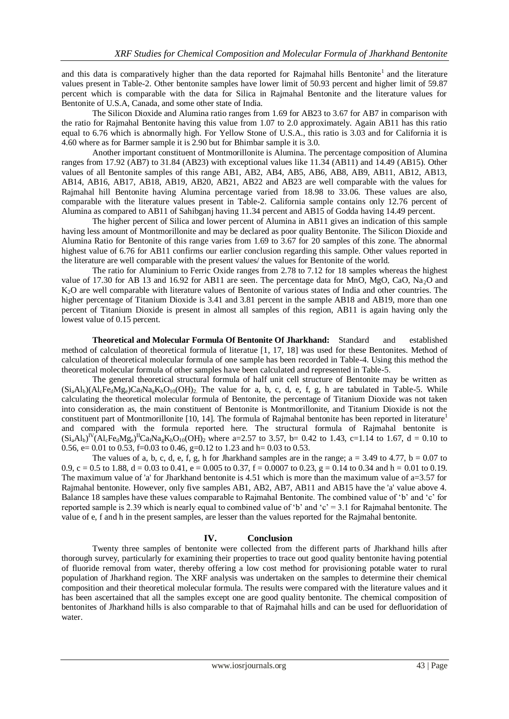and this data is comparatively higher than the data reported for Rajmahal hills Bentonite<sup>1</sup> and the literature values present in Table-2. Other bentonite samples have lower limit of 50.93 percent and higher limit of 59.87 percent which is comparable with the data for Silica in Rajmahal Bentonite and the literature values for Bentonite of U.S.A, Canada, and some other state of India.

The Silicon Dioxide and Alumina ratio ranges from 1.69 for AB23 to 3.67 for AB7 in comparison with the ratio for Rajmahal Bentonite having this value from 1.07 to 2.0 approximately. Again AB11 has this ratio equal to 6.76 which is abnormally high. For Yellow Stone of U.S.A., this ratio is 3.03 and for California it is 4.60 where as for Barmer sample it is 2.90 but for Bhimbar sample it is 3.0.

Another important constituent of Montmorillonite is Alumina. The percentage composition of Alumina ranges from 17.92 (AB7) to 31.84 (AB23) with exceptional values like 11.34 (AB11) and 14.49 (AB15). Other values of all Bentonite samples of this range AB1, AB2, AB4, AB5, AB6, AB8, AB9, AB11, AB12, AB13, AB14, AB16, AB17, AB18, AB19, AB20, AB21, AB22 and AB23 are well comparable with the values for Rajmahal hill Bentonite having Alumina percentage varied from 18.98 to 33.06. These values are also, comparable with the literature values present in Table-2. California sample contains only 12.76 percent of Alumina as compared to AB11 of Sahibganj having 11.34 percent and AB15 of Godda having 14.49 percent.

The higher percent of Silica and lower percent of Alumina in AB11 gives an indication of this sample having less amount of Montmorillonite and may be declared as poor quality Bentonite. The Silicon Dioxide and Alumina Ratio for Bentonite of this range varies from 1.69 to 3.67 for 20 samples of this zone. The abnormal highest value of 6.76 for AB11 confirms our earlier conclusion regarding this sample. Other values reported in the literature are well comparable with the present values/ the values for Bentonite of the world.

The ratio for Aluminium to Ferric Oxide ranges from 2.78 to 7.12 for 18 samples whereas the highest value of 17.30 for AB 13 and 16.92 for AB11 are seen. The percentage data for MnO, MgO, CaO, Na<sub>2</sub>O and K<sub>2</sub>O are well comparable with literature values of Bentonite of various states of India and other countries. The higher percentage of Titanium Dioxide is 3.41 and 3.81 percent in the sample AB18 and AB19, more than one percent of Titanium Dioxide is present in almost all samples of this region, AB11 is again having only the lowest value of 0.15 percent.

**Theoretical and Molecular Formula Of Bentonite Of Jharkhand:** Standard and established method of calculation of theoretical formula of literatue [1, 17, 18] was used for these Bentonites. Method of calculation of theoretical molecular formula of one sample has been recorded in Table-4. Using this method the theoretical molecular formula of other samples have been calculated and represented in Table-5.

The general theoretical structural formula of half unit cell structure of Bentonite may be written as  $(Si_aAl_b)(Al_cFe_dMg_e)Ca_iNa_eK_hO_{10}(OH)_2$ . The value for a, b, c, d, e, f, g, h are tabulated in Table-5. While calculating the theoretical molecular formula of Bentonite, the percentage of Titanium Dioxide was not taken into consideration as, the main constituent of Bentonite is Montmorillonite, and Titanium Dioxide is not the constituent part of Montmorillonite [10, 14]. The formula of Rajmahal bentonite has been reported in literature<sup>1</sup> and compared with the formula reported here. The structural formula of Rajmahal bentonite is  $(Si_aAl_b)^{IV}(Al_cFe_dMg_e)^{I\!I}Ca_fNa_gK_hO_{10}(OH)_2$  where a=2.57 to 3.57, b= 0.42 to 1.43, c=1.14 to 1.67, d = 0.10 to 0.56, e= 0.01 to 0.53, f=0.03 to 0.46, g=0.12 to 1.23 and h= 0.03 to 0.53.

The values of a, b, c, d, e, f, g, h for Jharkhand samples are in the range;  $a = 3.49$  to 4.77,  $b = 0.07$  to 0.9, c = 0.5 to 1.88, d = 0.03 to 0.41, e = 0.005 to 0.37, f = 0.0007 to 0.23, g = 0.14 to 0.34 and h = 0.01 to 0.19. The maximum value of 'a' for Jharkhand bentonite is 4.51 which is more than the maximum value of a=3.57 for Rajmahal bentonite. However, only five samples AB1, AB2, AB7, AB11 and AB15 have the 'a' value above 4. Balance 18 samples have these values comparable to Rajmahal Bentonite. The combined value of 'b' and 'c' for reported sample is 2.39 which is nearly equal to combined value of 'b' and 'c' = 3.1 for Rajmahal bentonite. The value of e, f and h in the present samples, are lesser than the values reported for the Rajmahal bentonite.

## **IV. Conclusion**

Twenty three samples of bentonite were collected from the different parts of Jharkhand hills after thorough survey, particularly for examining their properties to trace out good quality bentonite having potential of fluoride removal from water, thereby offering a low cost method for provisioning potable water to rural population of Jharkhand region. The XRF analysis was undertaken on the samples to determine their chemical composition and their theoretical molecular formula. The results were compared with the literature values and it has been ascertained that all the samples except one are good quality bentonite. The chemical composition of bentonites of Jharkhand hills is also comparable to that of Rajmahal hills and can be used for defluoridation of water.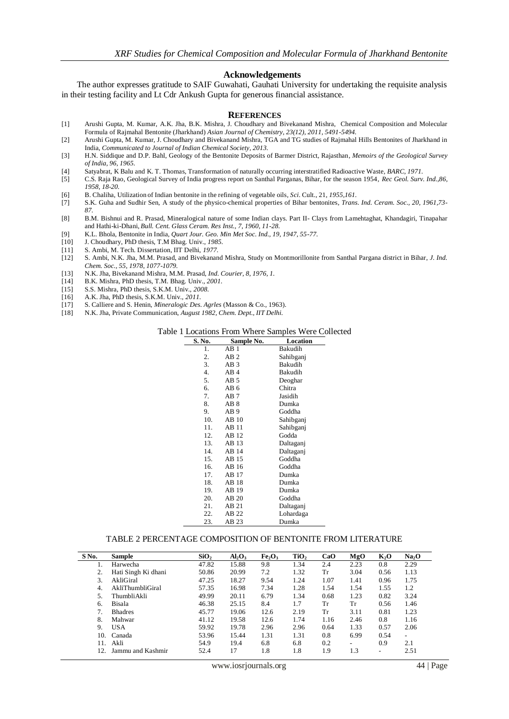#### **Acknowledgements**

The author expresses gratitude to SAIF Guwahati, Gauhati University for undertaking the requisite analysis in their testing facility and Lt Cdr Ankush Gupta for generous financial assistance.

#### **REFERENCES**

- [1] Arushi Gupta, M. Kumar, A.K. Jha, B.K. Mishra, J. Choudhary and Bivekanand Mishra, Chemical Composition and Molecular Formula of Rajmahal Bentonite (Jharkhand) *Asian Journal of Chemistry, 23(12), 2011, 5491-5494.*
- [2] Arushi Gupta, M. Kumar, J. Choudhary and Bivekanand Mishra, TGA and TG studies of Rajmahal Hills Bentonites of Jharkhand in India, *Communicated to Journal of Indian Chemical Society, 2013.*
- [3] H.N. Siddique and D.P. Bahl, Geology of the Bentonite Deposits of Barmer District, Rajasthan, *Memoirs of the Geological Survey of India, 96, 1965.*
- [4] Satyabrat, K Balu and K. T. Thomas, Transformation of naturally occurring interstratified Radioactive Waste*, BARC, 1971.*
- [5] C.S. Raja Rao, Geological Survey of India progress report on Santhal Parganas, Bihar, for the season 1954, *Rec Geol. Surv. Ind.,86, 1958, 18-20.*
- [6] B. Chaliha, Utilization of Indian bentonite in the refining of vegetable oils*, Sci*. Cult., 21, *1955,161.*
- [7] S.K. Guha and Sudhir Sen, A study of the physico-chemical properties of Bihar bentonites, *Trans. Ind. Ceram. Soc., 20, 1961,73- 87.*
- [8] B.M. Bishnui and R. Prasad, Mineralogical nature of some Indian clays. Part II- Clays from Lamehtaghat, Khandagiri, Tinapahar and Hathi-ki-Dhani, *Bull. Cent. Glass Ceram. Res Inst., 7, 1960, 11-28.*
- [9] K.L. Bhola, Bentonite in India, *Quart Jour. Geo. Min Met Soc. Ind., 19, 1947, 55-77.*
- [10] J. Choudhary, PhD thesis, T.M Bhag. Univ., *1985.*
- [11] S. Ambi, M. Tech. Dissertation, IIT Delhi, *1977.*
- [12] S. Ambi, N.K. Jha, M.M. Prasad, and Bivekanand Mishra, Study on Montmorillonite from Santhal Pargana district in Bihar, *J. Ind. Chem. Soc., 55, 1978, 1077-1079.*
- [13] N.K. Jha, Bivekanand Mishra, M.M. Prasad, *Ind. Courier, 8, 1976, 1.*
- [14] B.K. Mishra, PhD thesis, T.M. Bhag. Univ., *2001.*
- [15] S.S. Mishra, PhD thesis, S.K.M. Univ., *2008.*
- [16] A.K. Jha, PhD thesis, S.K.M. Univ., *2011.*
- [17] S. Calliere and S. Henin, *Mineralogic Des. Agrles* (Masson & Co., 1963).
- [18] N.K. Jha, Private Communication, *August 1982, Chem. Dept., IIT Delhi.*

### Table 1 Locations From Where Samples Were Collected

| S. No. | Sample No.      | Location  |
|--------|-----------------|-----------|
| 1.     | AB1             | Bakudih   |
| 2.     | AB2             | Sahibganj |
| 3.     | AB <sub>3</sub> | Bakudih   |
| 4.     | AB <sub>4</sub> | Bakudih   |
| 5.     | AB <sub>5</sub> | Deoghar   |
| 6.     | AB6             | Chitra    |
| 7.     | AB 7            | Jasidih   |
| 8.     | AB 8            | Dumka     |
| 9.     | AB <sub>9</sub> | Goddha    |
| 10.    | AB10            | Sahibganj |
| 11.    | AB11            | Sahibganj |
| 12.    | AB 12           | Godda     |
| 13.    | AB 13           | Daltaganj |
| 14.    | AB 14           | Daltaganj |
| 15.    | AB 15           | Goddha    |
| 16.    | AB 16           | Goddha    |
| 17.    | AB 17           | Dumka     |
| 18.    | AB 18           | Dumka     |
| 19.    | AB 19           | Dumka     |
| 20.    | AB 20           | Goddha    |
| 21.    | AB 21           | Daltaganj |
| 22.    | AB 22           | Lohardaga |
| 23.    | AB 23           | Dumka     |

#### TABLE 2 PERCENTAGE COMPOSITION OF BENTONITE FROM LITERATURE

| S No. | <b>Sample</b>       | SiO <sub>2</sub> | $Al_2O_3$ | Fe <sub>2</sub> O <sub>3</sub> | TiO <sub>2</sub> | CaO  | MgO  | K <sub>2</sub> O         | Na <sub>2</sub> O        |
|-------|---------------------|------------------|-----------|--------------------------------|------------------|------|------|--------------------------|--------------------------|
|       | Harwecha            | 47.82            | 15.88     | 9.8                            | 1.34             | 2.4  | 2.23 | 0.8                      | 2.29                     |
|       | Hati Singh Ki dhani | 50.86            | 20.99     | 7.2                            | 1.32             | Tr   | 3.04 | 0.56                     | 1.13                     |
| 3.    | AkliGiral           | 47.25            | 18.27     | 9.54                           | 1.24             | 1.07 | 1.41 | 0.96                     | 1.75                     |
| 4.    | AkliThumbliGiral    | 57.35            | 16.98     | 7.34                           | 1.28             | 1.54 | 1.54 | 1.55                     | 1.2                      |
|       | <b>ThumbliAkli</b>  | 49.99            | 20.11     | 6.79                           | 1.34             | 0.68 | 1.23 | 0.82                     | 3.24                     |
| 6.    | <b>Bisala</b>       | 46.38            | 25.15     | 8.4                            | 1.7              | Тr   | Тr   | 0.56                     | 1.46                     |
|       | <b>Bhadres</b>      | 45.77            | 19.06     | 12.6                           | 2.19             | Tr   | 3.11 | 0.81                     | 1.23                     |
| 8.    | Mahwar              | 41.12            | 19.58     | 12.6                           | 1.74             | 1.16 | 2.46 | 0.8                      | 1.16                     |
| 9.    | <b>USA</b>          | 59.92            | 19.78     | 2.96                           | 2.96             | 0.64 | 1.33 | 0.57                     | 2.06                     |
| 10.   | Canada              | 53.96            | 15.44     | 1.31                           | 1.31             | 0.8  | 6.99 | 0.54                     | $\overline{\phantom{a}}$ |
| 11.   | Akli                | 54.9             | 19.4      | 6.8                            | 6.8              | 0.2  | ۰    | 0.9                      | 2.1                      |
| 12    | Jammu and Kashmir   | 52.4             | 17        | 1.8                            | 1.8              | 1.9  | 1.3  | $\overline{\phantom{0}}$ | 2.51                     |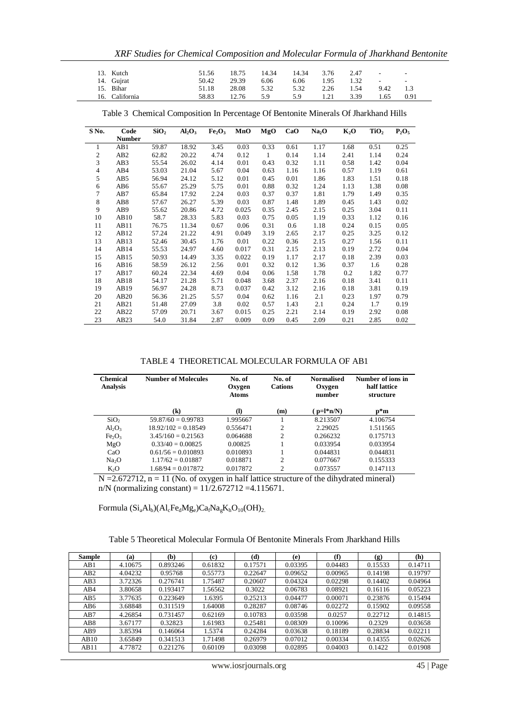*XRF Studies for Chemical Composition and Molecular Formula of Jharkhand Bentonite*

| 13. Kutch      | 51.56 | 18.75 | 14.34 | 14.34 | 3.76 | 2.47<br><b>Service</b>           |                    | $\sim$ |
|----------------|-------|-------|-------|-------|------|----------------------------------|--------------------|--------|
| 14. Gujrat     | 50.42 | 29.39 | 6.06  | 6.06  | 1.95 | 1.32<br><b>Contract Contract</b> | <b>State State</b> |        |
| 15. Bihar      | 51.18 | 28.08 | 5.32  | 5.32  | 2.26 | 1.54                             | 9.42               | 1.3    |
| 16. California | 58.83 | 12.76 | 5.9   | 5.9   | 1.21 | 3.39                             | 1.65               | 0.91   |

| S No.          | Code             | SiO <sub>2</sub> | $Al_2O_3$ | Fe <sub>2</sub> O <sub>3</sub> | MnO   | MgO  | CaO  | Na <sub>2</sub> O | $K_2O$ | TiO <sub>2</sub> | $P_2O_5$ |
|----------------|------------------|------------------|-----------|--------------------------------|-------|------|------|-------------------|--------|------------------|----------|
|                | <b>Number</b>    |                  |           |                                |       |      |      |                   |        |                  |          |
| 1              | AB1              | 59.87            | 18.92     | 3.45                           | 0.03  | 0.33 | 0.61 | 1.17              | 1.68   | 0.51             | 0.25     |
| 2              | AB <sub>2</sub>  | 62.82            | 20.22     | 4.74                           | 0.12  | 1    | 0.14 | 1.14              | 2.41   | 1.14             | 0.24     |
| 3              | AB <sub>3</sub>  | 55.54            | 26.02     | 4.14                           | 0.01  | 0.43 | 0.32 | 1.11              | 0.58   | 1.42             | 0.04     |
| $\overline{4}$ | AB4              | 53.03            | 21.04     | 5.67                           | 0.04  | 0.63 | 1.16 | 1.16              | 0.57   | 1.19             | 0.61     |
| 5              | AB5              | 56.94            | 24.12     | 5.12                           | 0.01  | 0.45 | 0.01 | 1.86              | 1.83   | 1.51             | 0.18     |
| 6              | AB6              | 55.67            | 25.29     | 5.75                           | 0.01  | 0.88 | 0.32 | 1.24              | 1.13   | 1.38             | 0.08     |
| 7              | AB7              | 65.84            | 17.92     | 2.24                           | 0.03  | 0.37 | 0.37 | 1.81              | 1.79   | 1.49             | 0.35     |
| 8              | AB <sub>8</sub>  | 57.67            | 26.27     | 5.39                           | 0.03  | 0.87 | 1.48 | 1.89              | 0.45   | 1.43             | 0.02     |
| 9              | AB9              | 55.62            | 20.86     | 4.72                           | 0.025 | 0.35 | 2.45 | 2.15              | 0.25   | 3.04             | 0.11     |
| 10             | AB10             | 58.7             | 28.33     | 5.83                           | 0.03  | 0.75 | 0.05 | 1.19              | 0.33   | 1.12             | 0.16     |
| 11             | AB11             | 76.75            | 11.34     | 0.67                           | 0.06  | 0.31 | 0.6  | 1.18              | 0.24   | 0.15             | 0.05     |
| 12             | AB <sub>12</sub> | 57.24            | 21.22     | 4.91                           | 0.049 | 3.19 | 2.65 | 2.17              | 0.25   | 3.25             | 0.12     |
| 13             | AB13             | 52.46            | 30.45     | 1.76                           | 0.01  | 0.22 | 0.36 | 2.15              | 0.27   | 1.56             | 0.11     |
| 14             | AB14             | 55.53            | 24.97     | 4.60                           | 0.017 | 0.31 | 2.15 | 2.13              | 0.19   | 2.72             | 0.04     |
| 15             | AB15             | 50.93            | 14.49     | 3.35                           | 0.022 | 0.19 | 1.17 | 2.17              | 0.18   | 2.39             | 0.03     |
| 16             | AB <sub>16</sub> | 58.59            | 26.12     | 2.56                           | 0.01  | 0.32 | 0.12 | 1.36              | 0.37   | 1.6              | 0.28     |
| 17             | AB17             | 60.24            | 22.34     | 4.69                           | 0.04  | 0.06 | 1.58 | 1.78              | 0.2    | 1.82             | 0.77     |
| 18             | AB18             | 54.17            | 21.28     | 5.71                           | 0.048 | 3.68 | 2.37 | 2.16              | 0.18   | 3.41             | 0.11     |
| 19             | AB19             | 56.97            | 24.28     | 8.73                           | 0.037 | 0.42 | 3.12 | 2.16              | 0.18   | 3.81             | 0.19     |
| 20             | AB20             | 56.36            | 21.25     | 5.57                           | 0.04  | 0.62 | 1.16 | 2.1               | 0.23   | 1.97             | 0.79     |
| 21             | AB21             | 51.48            | 27.09     | 3.8                            | 0.02  | 0.57 | 1.43 | 2.1               | 0.24   | 1.7              | 0.19     |
| 22             | AB22             | 57.09            | 20.71     | 3.67                           | 0.015 | 0.25 | 2.21 | 2.14              | 0.19   | 2.92             | 0.08     |
| 23             | AB23             | 54.0             | 31.84     | 2.87                           | 0.009 | 0.09 | 0.45 | 2.09              | 0.21   | 2.85             | 0.02     |

Table 3 Chemical Composition In Percentage Of Bentonite Minerals Of Jharkhand Hills

TABLE 4 THEORETICAL MOLECULAR FORMULA OF AB1

| <b>Chemical</b><br><b>Analysis</b> | <b>Number of Molecules</b> | No. of<br>Oxygen<br><b>Atoms</b> | No. of<br><b>Cations</b> | <b>Normalised</b><br>Oxygen<br>number | Number of ions in<br>half lattice<br>structure |
|------------------------------------|----------------------------|----------------------------------|--------------------------|---------------------------------------|------------------------------------------------|
|                                    | $\left( \mathbf{k}\right)$ | $\mathbf{I}$                     | (m)                      | $(p=l*n/N)$                           | $p*$ m                                         |
| SiO <sub>2</sub>                   | $59.87/60 = 0.99783$       | 1.995667                         |                          | 8.213507                              | 4.106754                                       |
| $Al_2O_3$                          | $18.92/102 = 0.18549$      | 0.556471                         | 2                        | 2.29025                               | 1.511565                                       |
| Fe <sub>2</sub> O <sub>3</sub>     | $3.45/160 = 0.21563$       | 0.064688                         | 2                        | 0.266232                              | 0.175713                                       |
| MgO                                | $0.33/40 = 0.00825$        | 0.00825                          |                          | 0.033954                              | 0.033954                                       |
| CaO                                | $0.61/56 = 0.010893$       | 0.010893                         |                          | 0.044831                              | 0.044831                                       |
| Na <sub>2</sub> O                  | $1.17/62 = 0.01887$        | 0.018871                         | 2                        | 0.077667                              | 0.155333                                       |
| $K_2O$                             | $1.68/94 = 0.017872$       | 0.017872                         | 2                        | 0.073557                              | 0.147113                                       |

 $N = 2.672712$ ,  $n = 11$  (No. of oxygen in half lattice structure of the dihydrated mineral) n/N (normalizing constant) =  $11/2.672712 = 4.115671$ .

Formula  $(Si_aAl_b)(Al_cFe_dMg_e)Ca_fNa_gK_hO_{10}(OH)_{2.}$ 

Table 5 Theoretical Molecular Formula Of Bentonite Minerals From Jharkhand Hills

| Sample          | (a)     | (b)      | (c)     | (d)     | (e)     | (f)     | (g)     | (h)     |
|-----------------|---------|----------|---------|---------|---------|---------|---------|---------|
| AB1             | 4.10675 | 0.893246 | 0.61832 | 0.17571 | 0.03395 | 0.04483 | 0.15533 | 0.14711 |
| AB2             | 4.04232 | 0.95768  | 0.55773 | 0.22647 | 0.09652 | 0.00965 | 0.14198 | 0.19797 |
| AB3             | 3.72326 | 0.276741 | 1.75487 | 0.20607 | 0.04324 | 0.02298 | 0.14402 | 0.04964 |
| AB4             | 3.80658 | 0.193417 | 1.56562 | 0.3022  | 0.06783 | 0.08921 | 0.16116 | 0.05223 |
| AB <sub>5</sub> | 3.77635 | 0.223649 | 1.6395  | 0.25213 | 0.04477 | 0.00071 | 0.23876 | 0.15494 |
| AB6             | 3.68848 | 0.311519 | 1.64008 | 0.28287 | 0.08746 | 0.02272 | 0.15902 | 0.09558 |
| AB7             | 4.26854 | 0.731457 | 0.62169 | 0.10783 | 0.03598 | 0.0257  | 0.22712 | 0.14815 |
| AB8             | 3.67177 | 0.32823  | 1.61983 | 0.25481 | 0.08309 | 0.10096 | 0.2329  | 0.03658 |
| AB <sub>9</sub> | 3.85394 | 0.146064 | 1.5374  | 0.24284 | 0.03638 | 0.18189 | 0.28834 | 0.02211 |
| AB10            | 3.65849 | 0.341513 | 1.71498 | 0.26979 | 0.07012 | 0.00334 | 0.14355 | 0.02626 |
| AB11            | 4.77872 | 0.221276 | 0.60109 | 0.03098 | 0.02895 | 0.04003 | 0.1422  | 0.01908 |